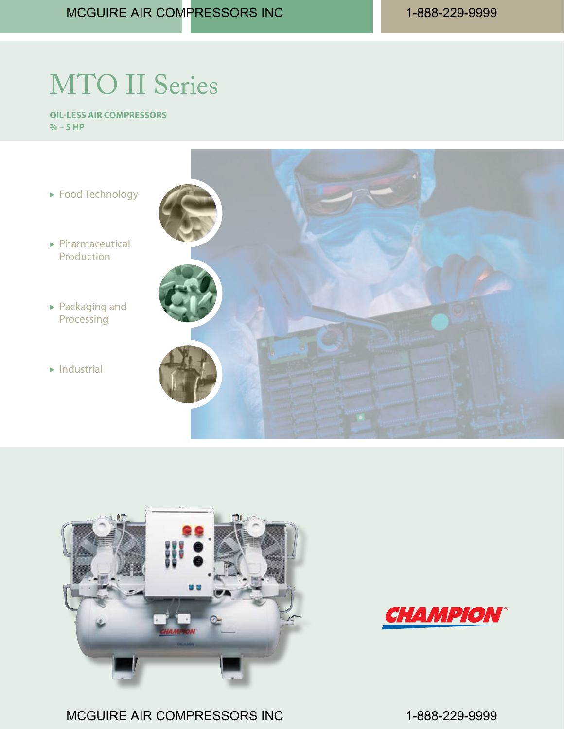## MTO II Series

**Oil-Less Air Compressors ¾ – 5 HP**







MCGUIRE AIR COMPRESSORS INC 1-888-229-9999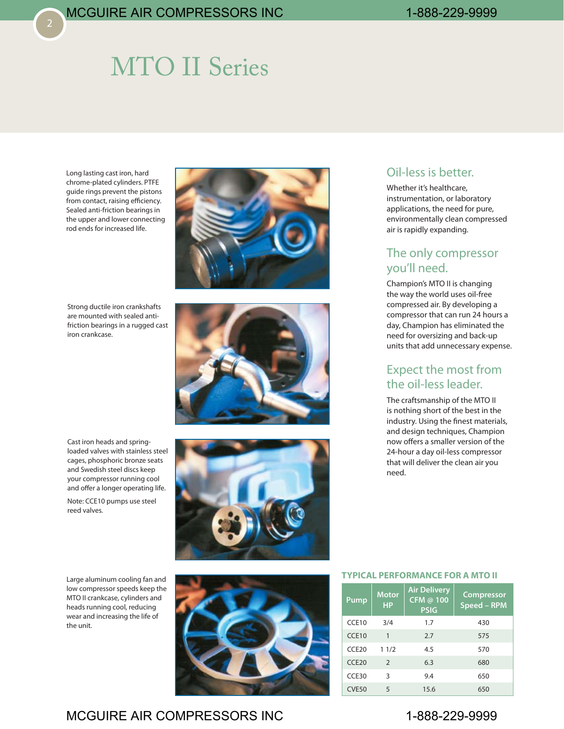## MTO II Series

Long lasting cast iron, hard chrome-plated cylinders. PTFE guide rings prevent the pistons from contact, raising efficiency. Sealed anti-friction bearings in the upper and lower connecting rod ends for increased life.

Strong ductile iron crankshafts are mounted with sealed antifriction bearings in a rugged cast iron crankcase.





Cast iron heads and springloaded valves with stainless steel cages, phosphoric bronze seats and Swedish steel discs keep your compressor running cool and offer a longer operating life.

Note: CCE10 pumps use steel reed valves.

Large aluminum cooling fan and low compressor speeds keep the MTO II crankcase, cylinders and heads running cool, reducing wear and increasing the life of the unit.



## Oil-less is better.

Whether it's healthcare, instrumentation, or laboratory applications, the need for pure, environmentally clean compressed air is rapidly expanding.

### The only compressor you'll need.

Champion's MTO II is changing the way the world uses oil-free compressed air. By developing a compressor that can run 24 hours a day, Champion has eliminated the need for oversizing and back-up units that add unnecessary expense.

### Expect the most from the oil-less leader.

The craftsmanship of the MTO II is nothing short of the best in the industry. Using the finest materials, and design techniques, Champion now offers a smaller version of the 24-hour a day oil-less compressor that will deliver the clean air you need.

#### **Typical Performance for a MTO II**

| Pump              | <b>Motor</b><br><b>HP</b> | <b>Air Delivery</b><br>CFM @ 100<br><b>PSIG</b> | <b>Compressor</b><br>Speed - RPM |
|-------------------|---------------------------|-------------------------------------------------|----------------------------------|
| CCE10             | 3/4                       | 1.7                                             | 430                              |
| CCE10             | $\mathbf{1}$              | 2.7                                             | 575                              |
| CCE <sub>20</sub> | 11/2                      | 4.5                                             | 570                              |
| CCE <sub>20</sub> | 2                         | 6.3                                             | 680                              |
| CCE30             | 3                         | 9.4                                             | 650                              |
| <b>CVE50</b>      | 5                         | 15.6                                            | 650                              |

## MCGUIRE AIR COMPRESSORS INC 1-888-229-9999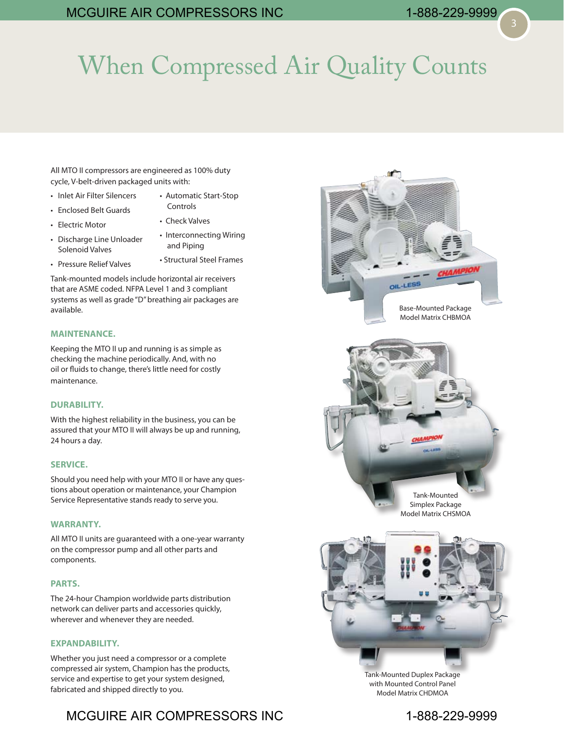# When Compressed Air Quality Counts

All MTO II compressors are engineered as 100% duty cycle, V-belt-driven packaged units with:

- Inlet Air Filter Silencers
- Automatic Start-Stop Controls
- Enclosed Belt Guards

• Electric Motor

- Check Valves
- Discharge Line Unloader Solenoid Valves • Interconnecting Wiring
	- and Piping
- Pressure Relief Valves
- Structural Steel Frames

Tank-mounted models include horizontal air receivers that are ASME coded. NFPA Level 1 and 3 compliant systems as well as grade "D" breathing air packages are available.

#### **MAINTENANCE.**

Keeping the MTO II up and running is as simple as checking the machine periodically. And, with no oil or fluids to change, there's little need for costly maintenance.

#### **DURABILITY.**

With the highest reliability in the business, you can be assured that your MTO II will always be up and running, 24 hours a day.

#### **SERVICE.**

Should you need help with your MTO II or have any questions about operation or maintenance, your Champion Service Representative stands ready to serve you.

#### **WARRANTY.**

All MTO II units are guaranteed with a one-year warranty on the compressor pump and all other parts and components.

#### **PARTS.**

The 24-hour Champion worldwide parts distribution network can deliver parts and accessories quickly, wherever and whenever they are needed.

#### **EXPANDABILITY.**

Whether you just need a compressor or a complete compressed air system, Champion has the products, service and expertise to get your system designed, fabricated and shipped directly to you.

## MCGUIRE AIR COMPRESSORS INC 1-888-229-9999